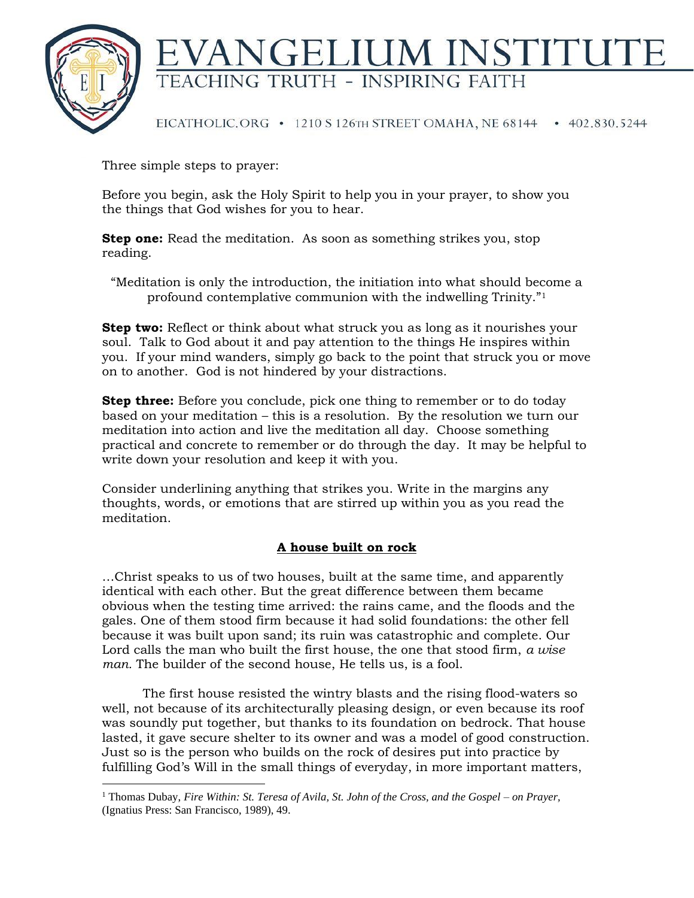

## NGELIUM INSTITUT TEACHING TRUTH - INSPIRING FAITH

EICATHOLIC.ORG • 1210 S 126TH STREET OMAHA, NE 68144 • 402.830.5244

Three simple steps to prayer:

Before you begin, ask the Holy Spirit to help you in your prayer, to show you the things that God wishes for you to hear.

**Step one:** Read the meditation. As soon as something strikes you, stop reading.

"Meditation is only the introduction, the initiation into what should become a profound contemplative communion with the indwelling Trinity."<sup>1</sup>

**Step two:** Reflect or think about what struck you as long as it nourishes your soul. Talk to God about it and pay attention to the things He inspires within you. If your mind wanders, simply go back to the point that struck you or move on to another. God is not hindered by your distractions.

**Step three:** Before you conclude, pick one thing to remember or to do today based on your meditation – this is a resolution. By the resolution we turn our meditation into action and live the meditation all day. Choose something practical and concrete to remember or do through the day. It may be helpful to write down your resolution and keep it with you.

Consider underlining anything that strikes you. Write in the margins any thoughts, words, or emotions that are stirred up within you as you read the meditation.

## **A house built on rock**

…Christ speaks to us of two houses, built at the same time, and apparently identical with each other. But the great difference between them became obvious when the testing time arrived: the rains came, and the floods and the gales. One of them stood firm because it had solid foundations: the other fell because it was built upon sand; its ruin was catastrophic and complete. Our Lord calls the man who built the first house, the one that stood firm, *a wise man.* The builder of the second house, He tells us, is a fool.

The first house resisted the wintry blasts and the rising flood-waters so well, not because of its architecturally pleasing design, or even because its roof was soundly put together, but thanks to its foundation on bedrock. That house lasted, it gave secure shelter to its owner and was a model of good construction. Just so is the person who builds on the rock of desires put into practice by fulfilling God's Will in the small things of everyday, in more important matters,

<sup>1</sup> Thomas Dubay, *Fire Within: St. Teresa of Avila, St. John of the Cross, and the Gospel – on Prayer,* (Ignatius Press: San Francisco, 1989), 49.